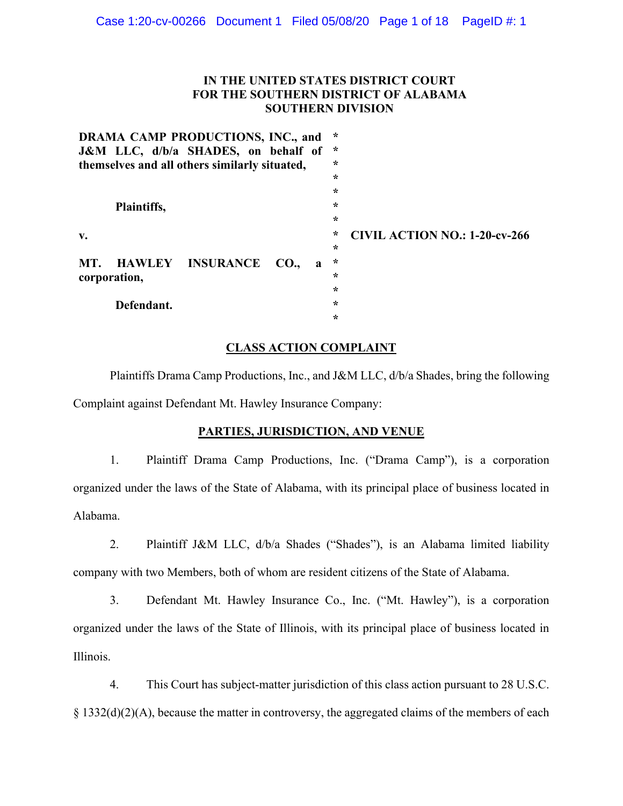# **IN THE UNITED STATES DISTRICT COURT FOR THE SOUTHERN DISTRICT OF ALABAMA SOUTHERN DIVISION**

| DRAMA CAMP PRODUCTIONS, INC., and<br>J&M LLC, d/b/a SHADES, on behalf of | $\star$<br>$\ast$                              |  |
|--------------------------------------------------------------------------|------------------------------------------------|--|
| themselves and all others similarly situated,                            | $\star$                                        |  |
|                                                                          | $\star$                                        |  |
|                                                                          | $\star$                                        |  |
| Plaintiffs,                                                              | $\star$                                        |  |
|                                                                          | $\star$                                        |  |
| v.                                                                       | $\ast$<br><b>CIVIL ACTION NO.: 1-20-cv-266</b> |  |
|                                                                          | $\star$                                        |  |
| <b>HAWLEY INSURANCE</b><br>MT.<br><b>CO.</b><br>Я                        | $\star$                                        |  |
| corporation,                                                             | $\star$                                        |  |
|                                                                          | $\star$                                        |  |
| Defendant.                                                               | $\star$                                        |  |
|                                                                          | $\star$                                        |  |

### **CLASS ACTION COMPLAINT**

Plaintiffs Drama Camp Productions, Inc., and J&M LLC, d/b/a Shades, bring the following Complaint against Defendant Mt. Hawley Insurance Company:

### **PARTIES, JURISDICTION, AND VENUE**

1. Plaintiff Drama Camp Productions, Inc. ("Drama Camp"), is a corporation organized under the laws of the State of Alabama, with its principal place of business located in Alabama.

2. Plaintiff J&M LLC, d/b/a Shades ("Shades"), is an Alabama limited liability company with two Members, both of whom are resident citizens of the State of Alabama.

3. Defendant Mt. Hawley Insurance Co., Inc. ("Mt. Hawley"), is a corporation organized under the laws of the State of Illinois, with its principal place of business located in Illinois.

4. This Court has subject-matter jurisdiction of this class action pursuant to 28 U.S.C. § 1332(d)(2)(A), because the matter in controversy, the aggregated claims of the members of each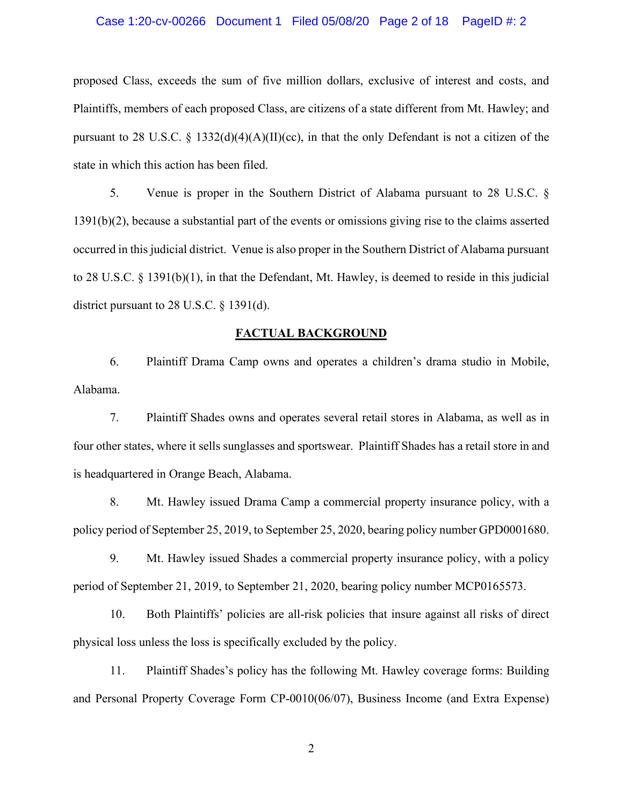#### Case 1:20-cv-00266 Document 1 Filed 05/08/20 Page 2 of 18 PageID #: 2

proposed Class, exceeds the sum of five million dollars, exclusive of interest and costs, and Plaintiffs, members of each proposed Class, are citizens of a state different from Mt. Hawley; and pursuant to 28 U.S.C. § 1332(d)(4)(A)(II)(cc), in that the only Defendant is not a citizen of the state in which this action has been filed.

5. Venue is proper in the Southern District of Alabama pursuant to 28 U.S.C. § 1391(b)(2), because a substantial part of the events or omissions giving rise to the claims asserted occurred in this judicial district. Venue is also proper in the Southern District of Alabama pursuant to 28 U.S.C. § 1391(b)(1), in that the Defendant, Mt. Hawley, is deemed to reside in this judicial district pursuant to 28 U.S.C. § 1391(d).

#### **FACTUAL BACKGROUND**

6. Plaintiff Drama Camp owns and operates a children's drama studio in Mobile, Alabama.

7. Plaintiff Shades owns and operates several retail stores in Alabama, as well as in four other states, where it sells sunglasses and sportswear. Plaintiff Shades has a retail store in and is headquartered in Orange Beach, Alabama.

8. Mt. Hawley issued Drama Camp a commercial property insurance policy, with a policy period of September 25, 2019, to September 25, 2020, bearing policy number GPD0001680.

9. Mt. Hawley issued Shades a commercial property insurance policy, with a policy period of September 21, 2019, to September 21, 2020, bearing policy number MCP0165573.

10. Both Plaintiffs' policies are all-risk policies that insure against all risks of direct physical loss unless the loss is specifically excluded by the policy.

11. Plaintiff Shades's policy has the following Mt. Hawley coverage forms: Building and Personal Property Coverage Form CP-0010(06/07), Business Income (and Extra Expense)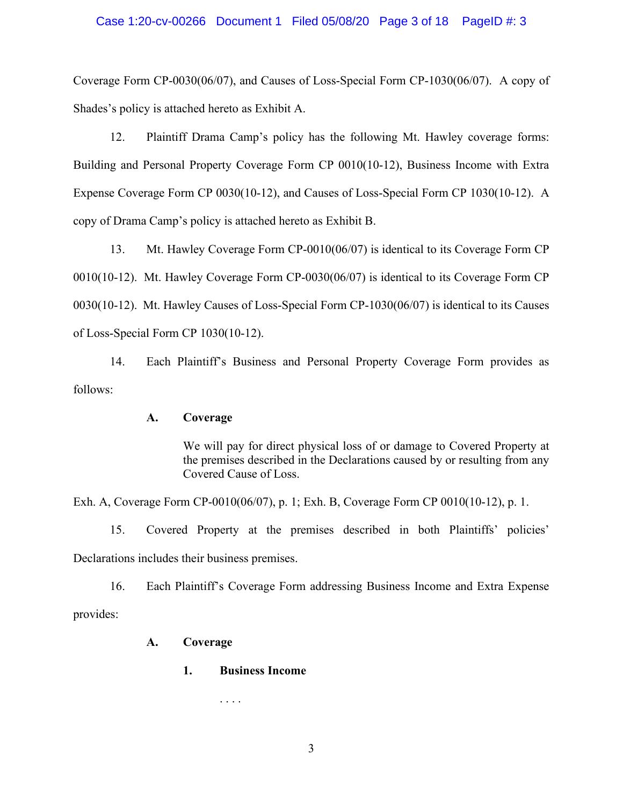### Case 1:20-cv-00266 Document 1 Filed 05/08/20 Page 3 of 18 PageID #: 3

Coverage Form CP-0030(06/07), and Causes of Loss-Special Form CP-1030(06/07). A copy of Shades's policy is attached hereto as Exhibit A.

12. Plaintiff Drama Camp's policy has the following Mt. Hawley coverage forms: Building and Personal Property Coverage Form CP 0010(10-12), Business Income with Extra Expense Coverage Form CP 0030(10-12), and Causes of Loss-Special Form CP 1030(10-12). A copy of Drama Camp's policy is attached hereto as Exhibit B.

13. Mt. Hawley Coverage Form CP-0010(06/07) is identical to its Coverage Form CP 0010(10-12). Mt. Hawley Coverage Form CP-0030(06/07) is identical to its Coverage Form CP 0030(10-12). Mt. Hawley Causes of Loss-Special Form CP-1030(06/07) is identical to its Causes of Loss-Special Form CP 1030(10-12).

14. Each Plaintiff's Business and Personal Property Coverage Form provides as follows:

### **A. Coverage**

We will pay for direct physical loss of or damage to Covered Property at the premises described in the Declarations caused by or resulting from any Covered Cause of Loss.

Exh. A, Coverage Form CP-0010(06/07), p. 1; Exh. B, Coverage Form CP 0010(10-12), p. 1.

15. Covered Property at the premises described in both Plaintiffs' policies' Declarations includes their business premises.

16. Each Plaintiff's Coverage Form addressing Business Income and Extra Expense provides:

# **A. Coverage**

# **1. Business Income**

. . . .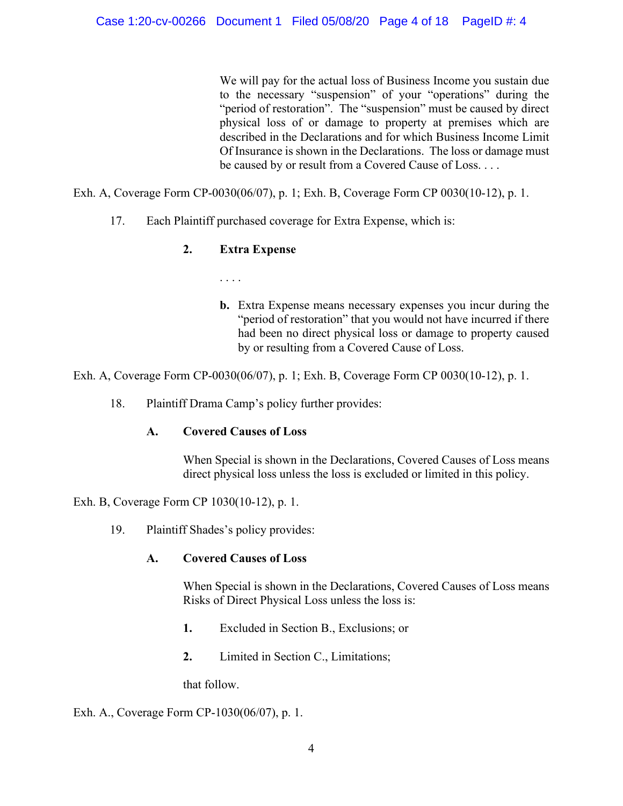We will pay for the actual loss of Business Income you sustain due to the necessary "suspension" of your "operations" during the "period of restoration". The "suspension" must be caused by direct physical loss of or damage to property at premises which are described in the Declarations and for which Business Income Limit Of Insurance is shown in the Declarations. The loss or damage must be caused by or result from a Covered Cause of Loss. . . .

Exh. A, Coverage Form CP-0030(06/07), p. 1; Exh. B, Coverage Form CP 0030(10-12), p. 1.

17. Each Plaintiff purchased coverage for Extra Expense, which is:

# **2. Extra Expense**

. . . .

**b.** Extra Expense means necessary expenses you incur during the "period of restoration" that you would not have incurred if there had been no direct physical loss or damage to property caused by or resulting from a Covered Cause of Loss.

Exh. A, Coverage Form CP-0030(06/07), p. 1; Exh. B, Coverage Form CP 0030(10-12), p. 1.

18. Plaintiff Drama Camp's policy further provides:

# **A. Covered Causes of Loss**

When Special is shown in the Declarations, Covered Causes of Loss means direct physical loss unless the loss is excluded or limited in this policy.

Exh. B, Coverage Form CP 1030(10-12), p. 1.

19. Plaintiff Shades's policy provides:

# **A. Covered Causes of Loss**

When Special is shown in the Declarations, Covered Causes of Loss means Risks of Direct Physical Loss unless the loss is:

- **1.** Excluded in Section B., Exclusions; or
- **2.** Limited in Section C., Limitations;

that follow.

Exh. A., Coverage Form CP-1030(06/07), p. 1.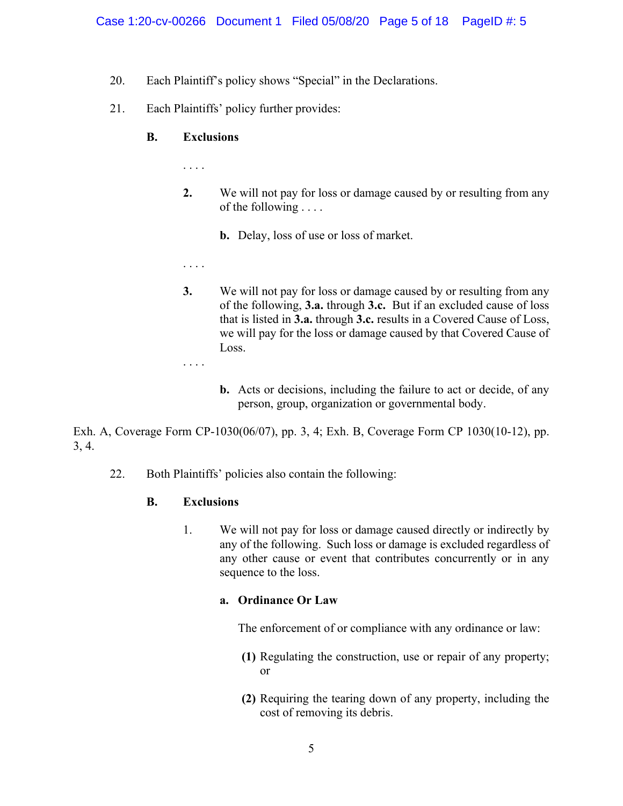- 20. Each Plaintiff's policy shows "Special" in the Declarations.
- 21. Each Plaintiffs' policy further provides:

# **B. Exclusions**

. . . .

- **2.** We will not pay for loss or damage caused by or resulting from any of the following . . . .
	- **b.** Delay, loss of use or loss of market.

. . . .

**3.** We will not pay for loss or damage caused by or resulting from any of the following, **3.a.** through **3.c.** But if an excluded cause of loss that is listed in **3.a.** through **3.c.** results in a Covered Cause of Loss, we will pay for the loss or damage caused by that Covered Cause of Loss.

. . . .

**b.** Acts or decisions, including the failure to act or decide, of any person, group, organization or governmental body.

Exh. A, Coverage Form CP-1030(06/07), pp. 3, 4; Exh. B, Coverage Form CP 1030(10-12), pp. 3, 4.

22. Both Plaintiffs' policies also contain the following:

# **B. Exclusions**

1. We will not pay for loss or damage caused directly or indirectly by any of the following. Such loss or damage is excluded regardless of any other cause or event that contributes concurrently or in any sequence to the loss.

# **a. Ordinance Or Law**

The enforcement of or compliance with any ordinance or law:

- **(1)** Regulating the construction, use or repair of any property; or
- **(2)** Requiring the tearing down of any property, including the cost of removing its debris.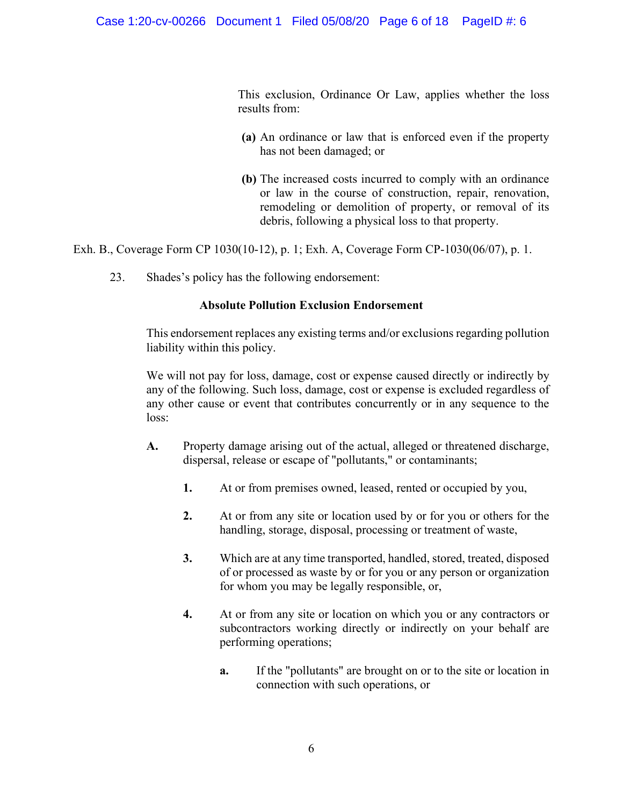This exclusion, Ordinance Or Law, applies whether the loss results from:

- **(a)** An ordinance or law that is enforced even if the property has not been damaged; or
- **(b)** The increased costs incurred to comply with an ordinance or law in the course of construction, repair, renovation, remodeling or demolition of property, or removal of its debris, following a physical loss to that property.

Exh. B., Coverage Form CP 1030(10-12), p. 1; Exh. A, Coverage Form CP-1030(06/07), p. 1.

23. Shades's policy has the following endorsement:

# **Absolute Pollution Exclusion Endorsement**

This endorsement replaces any existing terms and/or exclusions regarding pollution liability within this policy.

We will not pay for loss, damage, cost or expense caused directly or indirectly by any of the following. Such loss, damage, cost or expense is excluded regardless of any other cause or event that contributes concurrently or in any sequence to the loss:

- **A.** Property damage arising out of the actual, alleged or threatened discharge, dispersal, release or escape of "pollutants," or contaminants;
	- **1.** At or from premises owned, leased, rented or occupied by you,
	- **2.** At or from any site or location used by or for you or others for the handling, storage, disposal, processing or treatment of waste,
	- **3.** Which are at any time transported, handled, stored, treated, disposed of or processed as waste by or for you or any person or organization for whom you may be legally responsible, or,
	- **4.** At or from any site or location on which you or any contractors or subcontractors working directly or indirectly on your behalf are performing operations;
		- **a.** If the "pollutants" are brought on or to the site or location in connection with such operations, or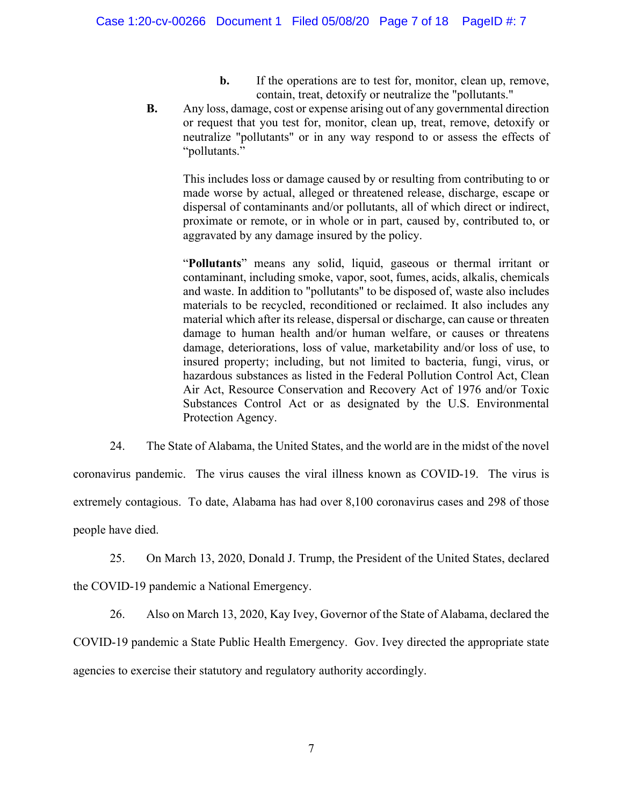- **b.** If the operations are to test for, monitor, clean up, remove, contain, treat, detoxify or neutralize the "pollutants."
- **B.** Any loss, damage, cost or expense arising out of any governmental direction or request that you test for, monitor, clean up, treat, remove, detoxify or neutralize "pollutants" or in any way respond to or assess the effects of "pollutants."

This includes loss or damage caused by or resulting from contributing to or made worse by actual, alleged or threatened release, discharge, escape or dispersal of contaminants and/or pollutants, all of which direct or indirect, proximate or remote, or in whole or in part, caused by, contributed to, or aggravated by any damage insured by the policy.

"**Pollutants**" means any solid, liquid, gaseous or thermal irritant or contaminant, including smoke, vapor, soot, fumes, acids, alkalis, chemicals and waste. In addition to "pollutants" to be disposed of, waste also includes materials to be recycled, reconditioned or reclaimed. It also includes any material which after its release, dispersal or discharge, can cause or threaten damage to human health and/or human welfare, or causes or threatens damage, deteriorations, loss of value, marketability and/or loss of use, to insured property; including, but not limited to bacteria, fungi, virus, or hazardous substances as listed in the Federal Pollution Control Act, Clean Air Act, Resource Conservation and Recovery Act of 1976 and/or Toxic Substances Control Act or as designated by the U.S. Environmental Protection Agency.

24. The State of Alabama, the United States, and the world are in the midst of the novel coronavirus pandemic. The virus causes the viral illness known as COVID-19. The virus is extremely contagious. To date, Alabama has had over 8,100 coronavirus cases and 298 of those people have died.

25. On March 13, 2020, Donald J. Trump, the President of the United States, declared the COVID-19 pandemic a National Emergency.

26. Also on March 13, 2020, Kay Ivey, Governor of the State of Alabama, declared the COVID-19 pandemic a State Public Health Emergency. Gov. Ivey directed the appropriate state agencies to exercise their statutory and regulatory authority accordingly.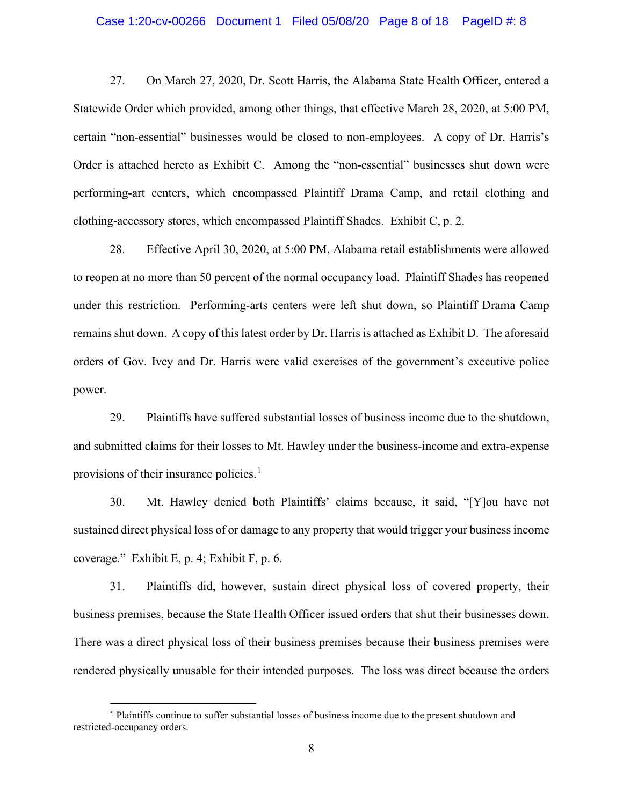#### Case 1:20-cv-00266 Document 1 Filed 05/08/20 Page 8 of 18 PageID #: 8

27. On March 27, 2020, Dr. Scott Harris, the Alabama State Health Officer, entered a Statewide Order which provided, among other things, that effective March 28, 2020, at 5:00 PM, certain "non-essential" businesses would be closed to non-employees. A copy of Dr. Harris's Order is attached hereto as Exhibit C. Among the "non-essential" businesses shut down were performing-art centers, which encompassed Plaintiff Drama Camp, and retail clothing and clothing-accessory stores, which encompassed Plaintiff Shades. Exhibit C, p. 2.

28. Effective April 30, 2020, at 5:00 PM, Alabama retail establishments were allowed to reopen at no more than 50 percent of the normal occupancy load. Plaintiff Shades has reopened under this restriction. Performing-arts centers were left shut down, so Plaintiff Drama Camp remains shut down. A copy of this latest order by Dr. Harris is attached as Exhibit D. The aforesaid orders of Gov. Ivey and Dr. Harris were valid exercises of the government's executive police power.

29. Plaintiffs have suffered substantial losses of business income due to the shutdown, and submitted claims for their losses to Mt. Hawley under the business-income and extra-expense provisions of their insurance policies.<sup>[1](#page-7-0)</sup>

30. Mt. Hawley denied both Plaintiffs' claims because, it said, "[Y]ou have not sustained direct physical loss of or damage to any property that would trigger your business income coverage." Exhibit E, p. 4; Exhibit F, p. 6.

31. Plaintiffs did, however, sustain direct physical loss of covered property, their business premises, because the State Health Officer issued orders that shut their businesses down. There was a direct physical loss of their business premises because their business premises were rendered physically unusable for their intended purposes. The loss was direct because the orders

<span id="page-7-0"></span><sup>1</sup> Plaintiffs continue to suffer substantial losses of business income due to the present shutdown and restricted-occupancy orders.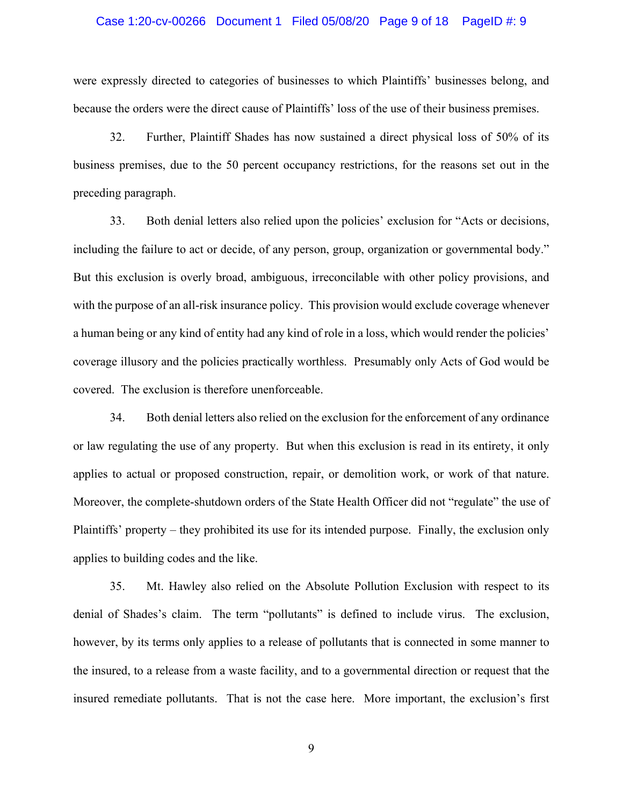#### Case 1:20-cv-00266 Document 1 Filed 05/08/20 Page 9 of 18 PageID #: 9

were expressly directed to categories of businesses to which Plaintiffs' businesses belong, and because the orders were the direct cause of Plaintiffs' loss of the use of their business premises.

32. Further, Plaintiff Shades has now sustained a direct physical loss of 50% of its business premises, due to the 50 percent occupancy restrictions, for the reasons set out in the preceding paragraph.

33. Both denial letters also relied upon the policies' exclusion for "Acts or decisions, including the failure to act or decide, of any person, group, organization or governmental body." But this exclusion is overly broad, ambiguous, irreconcilable with other policy provisions, and with the purpose of an all-risk insurance policy. This provision would exclude coverage whenever a human being or any kind of entity had any kind of role in a loss, which would render the policies' coverage illusory and the policies practically worthless. Presumably only Acts of God would be covered. The exclusion is therefore unenforceable.

34. Both denial letters also relied on the exclusion for the enforcement of any ordinance or law regulating the use of any property. But when this exclusion is read in its entirety, it only applies to actual or proposed construction, repair, or demolition work, or work of that nature. Moreover, the complete-shutdown orders of the State Health Officer did not "regulate" the use of Plaintiffs' property – they prohibited its use for its intended purpose. Finally, the exclusion only applies to building codes and the like.

35. Mt. Hawley also relied on the Absolute Pollution Exclusion with respect to its denial of Shades's claim. The term "pollutants" is defined to include virus. The exclusion, however, by its terms only applies to a release of pollutants that is connected in some manner to the insured, to a release from a waste facility, and to a governmental direction or request that the insured remediate pollutants. That is not the case here. More important, the exclusion's first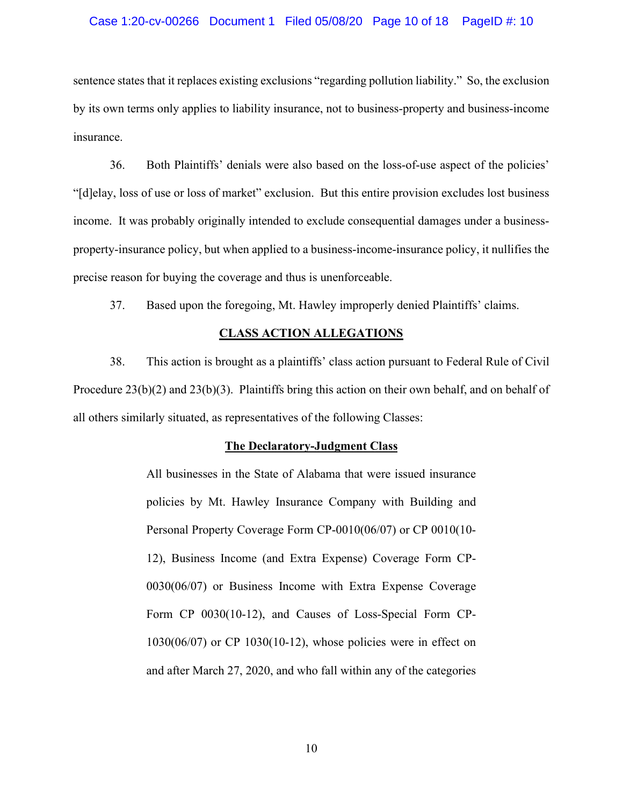### Case 1:20-cv-00266 Document 1 Filed 05/08/20 Page 10 of 18 PageID #: 10

sentence states that it replaces existing exclusions "regarding pollution liability." So, the exclusion by its own terms only applies to liability insurance, not to business-property and business-income insurance.

36. Both Plaintiffs' denials were also based on the loss-of-use aspect of the policies' "[d]elay, loss of use or loss of market" exclusion. But this entire provision excludes lost business income. It was probably originally intended to exclude consequential damages under a businessproperty-insurance policy, but when applied to a business-income-insurance policy, it nullifies the precise reason for buying the coverage and thus is unenforceable.

37. Based upon the foregoing, Mt. Hawley improperly denied Plaintiffs' claims.

#### **CLASS ACTION ALLEGATIONS**

38. This action is brought as a plaintiffs' class action pursuant to Federal Rule of Civil Procedure 23(b)(2) and 23(b)(3). Plaintiffs bring this action on their own behalf, and on behalf of all others similarly situated, as representatives of the following Classes:

#### **The Declaratory-Judgment Class**

All businesses in the State of Alabama that were issued insurance policies by Mt. Hawley Insurance Company with Building and Personal Property Coverage Form CP-0010(06/07) or CP 0010(10- 12), Business Income (and Extra Expense) Coverage Form CP-0030(06/07) or Business Income with Extra Expense Coverage Form CP 0030(10-12), and Causes of Loss-Special Form CP-1030(06/07) or CP 1030(10-12), whose policies were in effect on and after March 27, 2020, and who fall within any of the categories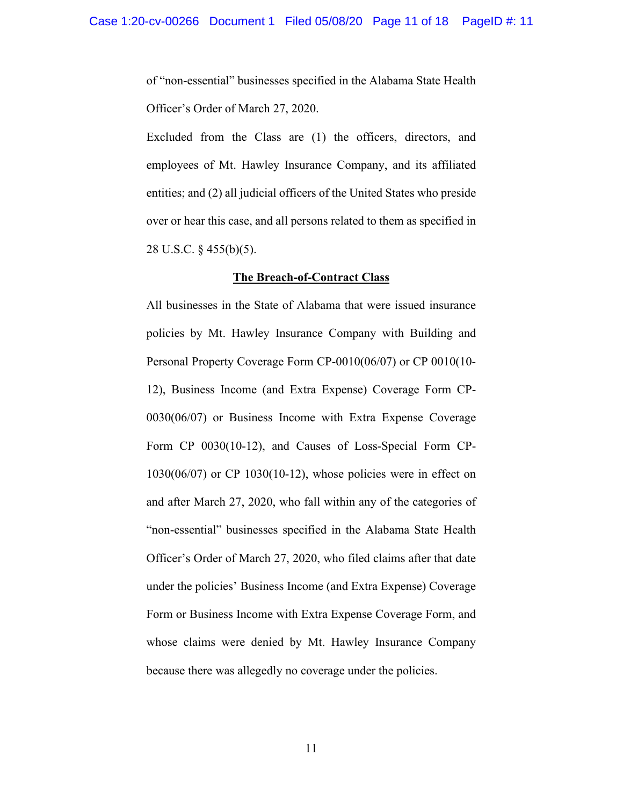of "non-essential" businesses specified in the Alabama State Health Officer's Order of March 27, 2020.

Excluded from the Class are (1) the officers, directors, and employees of Mt. Hawley Insurance Company, and its affiliated entities; and (2) all judicial officers of the United States who preside over or hear this case, and all persons related to them as specified in 28 U.S.C. § 455(b)(5).

#### **The Breach-of-Contract Class**

All businesses in the State of Alabama that were issued insurance policies by Mt. Hawley Insurance Company with Building and Personal Property Coverage Form CP-0010(06/07) or CP 0010(10- 12), Business Income (and Extra Expense) Coverage Form CP-0030(06/07) or Business Income with Extra Expense Coverage Form CP 0030(10-12), and Causes of Loss-Special Form CP-1030(06/07) or CP 1030(10-12), whose policies were in effect on and after March 27, 2020, who fall within any of the categories of "non-essential" businesses specified in the Alabama State Health Officer's Order of March 27, 2020, who filed claims after that date under the policies' Business Income (and Extra Expense) Coverage Form or Business Income with Extra Expense Coverage Form, and whose claims were denied by Mt. Hawley Insurance Company because there was allegedly no coverage under the policies.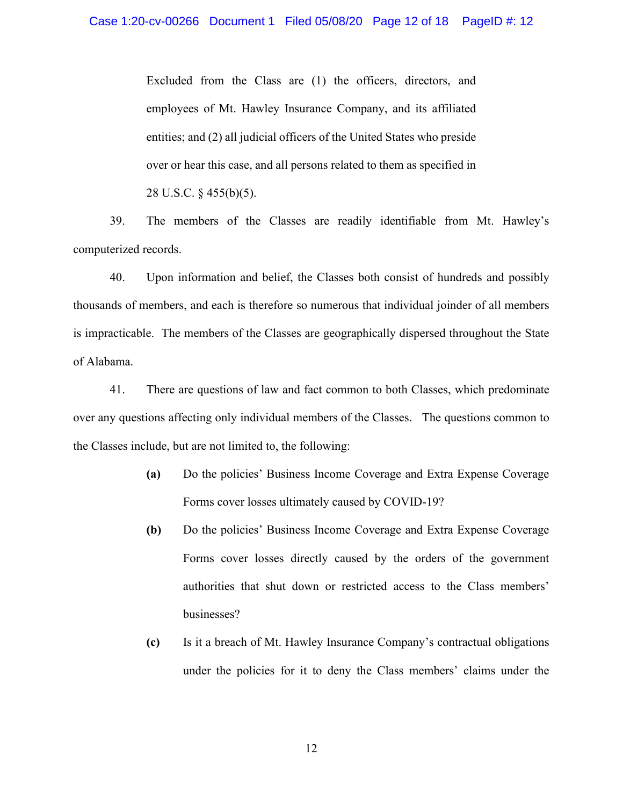Excluded from the Class are (1) the officers, directors, and employees of Mt. Hawley Insurance Company, and its affiliated entities; and (2) all judicial officers of the United States who preside over or hear this case, and all persons related to them as specified in 28 U.S.C. § 455(b)(5).

39. The members of the Classes are readily identifiable from Mt. Hawley's computerized records.

40. Upon information and belief, the Classes both consist of hundreds and possibly thousands of members, and each is therefore so numerous that individual joinder of all members is impracticable. The members of the Classes are geographically dispersed throughout the State of Alabama.

41. There are questions of law and fact common to both Classes, which predominate over any questions affecting only individual members of the Classes. The questions common to the Classes include, but are not limited to, the following:

- **(a)** Do the policies' Business Income Coverage and Extra Expense Coverage Forms cover losses ultimately caused by COVID-19?
- **(b)** Do the policies' Business Income Coverage and Extra Expense Coverage Forms cover losses directly caused by the orders of the government authorities that shut down or restricted access to the Class members' businesses?
- **(c)** Is it a breach of Mt. Hawley Insurance Company's contractual obligations under the policies for it to deny the Class members' claims under the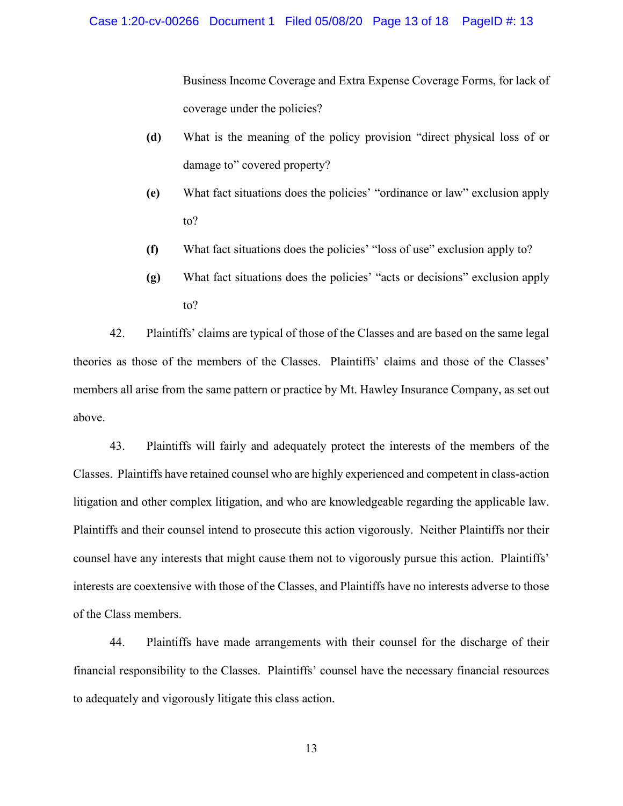Business Income Coverage and Extra Expense Coverage Forms, for lack of coverage under the policies?

- **(d)** What is the meaning of the policy provision "direct physical loss of or damage to" covered property?
- **(e)** What fact situations does the policies' "ordinance or law" exclusion apply to?
- **(f)** What fact situations does the policies' "loss of use" exclusion apply to?
- **(g)** What fact situations does the policies' "acts or decisions" exclusion apply to?

42. Plaintiffs' claims are typical of those of the Classes and are based on the same legal theories as those of the members of the Classes. Plaintiffs' claims and those of the Classes' members all arise from the same pattern or practice by Mt. Hawley Insurance Company, as set out above.

43. Plaintiffs will fairly and adequately protect the interests of the members of the Classes. Plaintiffs have retained counsel who are highly experienced and competent in class-action litigation and other complex litigation, and who are knowledgeable regarding the applicable law. Plaintiffs and their counsel intend to prosecute this action vigorously. Neither Plaintiffs nor their counsel have any interests that might cause them not to vigorously pursue this action. Plaintiffs' interests are coextensive with those of the Classes, and Plaintiffs have no interests adverse to those of the Class members.

44. Plaintiffs have made arrangements with their counsel for the discharge of their financial responsibility to the Classes. Plaintiffs' counsel have the necessary financial resources to adequately and vigorously litigate this class action.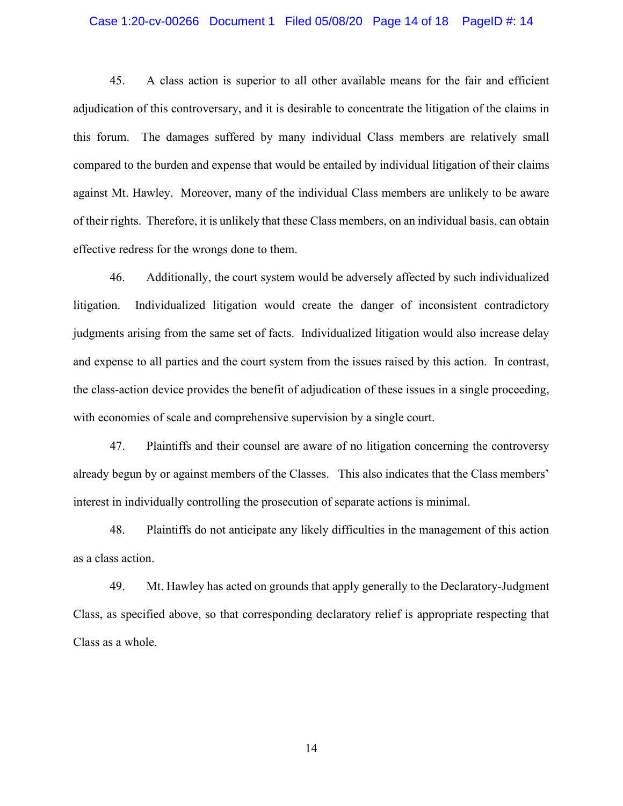#### Case 1:20-cv-00266 Document 1 Filed 05/08/20 Page 14 of 18 PageID #: 14

45. A class action is superior to all other available means for the fair and efficient adjudication of this controversary, and it is desirable to concentrate the litigation of the claims in this forum. The damages suffered by many individual Class members are relatively small compared to the burden and expense that would be entailed by individual litigation of their claims against Mt. Hawley. Moreover, many of the individual Class members are unlikely to be aware of their rights. Therefore, it is unlikely that these Class members, on an individual basis, can obtain effective redress for the wrongs done to them.

46. Additionally, the court system would be adversely affected by such individualized litigation. Individualized litigation would create the danger of inconsistent contradictory judgments arising from the same set of facts. Individualized litigation would also increase delay and expense to all parties and the court system from the issues raised by this action. In contrast, the class-action device provides the benefit of adjudication of these issues in a single proceeding, with economies of scale and comprehensive supervision by a single court.

47. Plaintiffs and their counsel are aware of no litigation concerning the controversy already begun by or against members of the Classes. This also indicates that the Class members' interest in individually controlling the prosecution of separate actions is minimal.

48. Plaintiffs do not anticipate any likely difficulties in the management of this action as a class action.

49. Mt. Hawley has acted on grounds that apply generally to the Declaratory-Judgment Class, as specified above, so that corresponding declaratory relief is appropriate respecting that Class as a whole.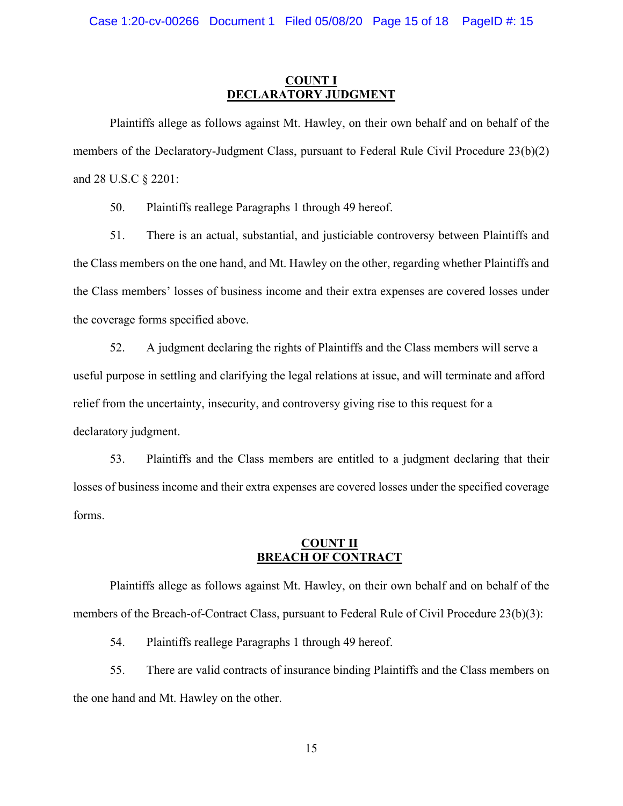## **COUNT I DECLARATORY JUDGMENT**

Plaintiffs allege as follows against Mt. Hawley, on their own behalf and on behalf of the members of the Declaratory-Judgment Class, pursuant to Federal Rule Civil Procedure 23(b)(2) and 28 U.S.C § 2201:

50. Plaintiffs reallege Paragraphs 1 through 49 hereof.

51. There is an actual, substantial, and justiciable controversy between Plaintiffs and the Class members on the one hand, and Mt. Hawley on the other, regarding whether Plaintiffs and the Class members' losses of business income and their extra expenses are covered losses under the coverage forms specified above.

52. A judgment declaring the rights of Plaintiffs and the Class members will serve a useful purpose in settling and clarifying the legal relations at issue, and will terminate and afford relief from the uncertainty, insecurity, and controversy giving rise to this request for a declaratory judgment.

53. Plaintiffs and the Class members are entitled to a judgment declaring that their losses of business income and their extra expenses are covered losses under the specified coverage forms.

# **COUNT II BREACH OF CONTRACT**

Plaintiffs allege as follows against Mt. Hawley, on their own behalf and on behalf of the members of the Breach-of-Contract Class, pursuant to Federal Rule of Civil Procedure 23(b)(3):

54. Plaintiffs reallege Paragraphs 1 through 49 hereof.

55. There are valid contracts of insurance binding Plaintiffs and the Class members on the one hand and Mt. Hawley on the other.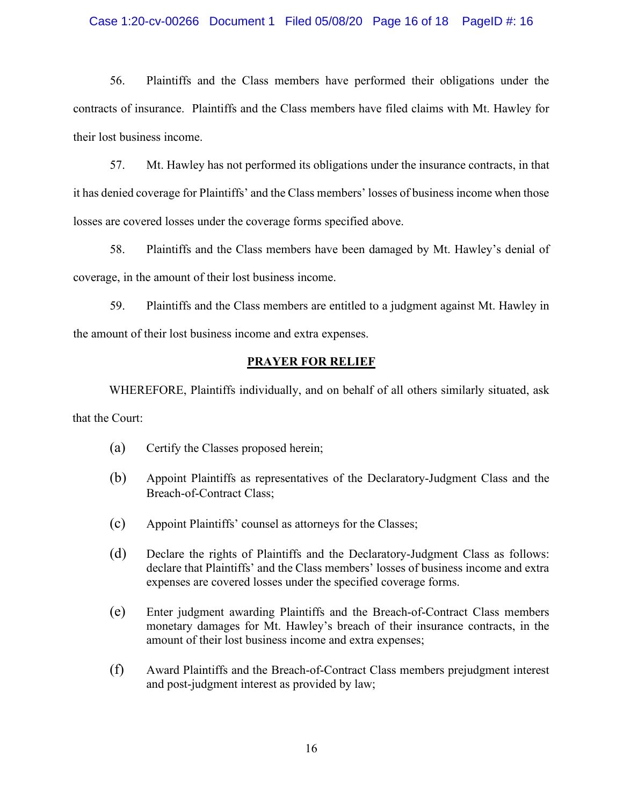### Case 1:20-cv-00266 Document 1 Filed 05/08/20 Page 16 of 18 PageID #: 16

56. Plaintiffs and the Class members have performed their obligations under the contracts of insurance. Plaintiffs and the Class members have filed claims with Mt. Hawley for their lost business income.

57. Mt. Hawley has not performed its obligations under the insurance contracts, in that it has denied coverage for Plaintiffs' and the Class members' losses of business income when those losses are covered losses under the coverage forms specified above.

58. Plaintiffs and the Class members have been damaged by Mt. Hawley's denial of coverage, in the amount of their lost business income.

59. Plaintiffs and the Class members are entitled to a judgment against Mt. Hawley in the amount of their lost business income and extra expenses.

# **PRAYER FOR RELIEF**

WHEREFORE, Plaintiffs individually, and on behalf of all others similarly situated, ask that the Court:

- (a) Certify the Classes proposed herein;
- (b) Appoint Plaintiffs as representatives of the Declaratory-Judgment Class and the Breach-of-Contract Class;
- (c) Appoint Plaintiffs' counsel as attorneys for the Classes;
- (d) Declare the rights of Plaintiffs and the Declaratory-Judgment Class as follows: declare that Plaintiffs' and the Class members' losses of business income and extra expenses are covered losses under the specified coverage forms.
- (e) Enter judgment awarding Plaintiffs and the Breach-of-Contract Class members monetary damages for Mt. Hawley's breach of their insurance contracts, in the amount of their lost business income and extra expenses;
- (f) Award Plaintiffs and the Breach-of-Contract Class members prejudgment interest and post-judgment interest as provided by law;